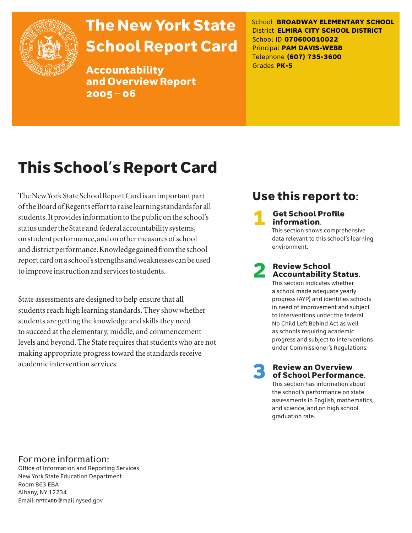

# The New York State School Report Card

Accountability and Overview Report 2005–06

School **BROADWAY ELEMENTARY SCHOOL** District **ELMIRA CITY SCHOOL DISTRICT** School ID **070600010022** Principal **PAM DAVIS-WEBB** Telephone **(607) 735-3600** Grades **PK-5**

# This School's Report Card

The New York State School Report Card is an important part of the Board of Regents effort to raise learning standards for all students. It provides information to the public on the school's status under the State and federal accountability systems, on student performance, and on other measures of school and district performance. Knowledge gained from the school report card on a school's strengths and weaknesses can be used to improve instruction and services to students.

State assessments are designed to help ensure that all students reach high learning standards. They show whether students are getting the knowledge and skills they need to succeed at the elementary, middle, and commencement levels and beyond. The State requires that students who are not making appropriate progress toward the standards receive academic intervention services.

# Use this report to:

**Get School Profile** information. This section shows comprehensive

data relevant to this school's learning environment.

# 2 Review School Accountability Status.

This section indicates whether a school made adequate yearly progress (AYP) and identifies schools in need of improvement and subject to interventions under the federal No Child Left Behind Act as well as schools requiring academic progress and subject to interventions under Commissioner's Regulations.

**Review an Overview** of School Performance.

This section has information about the school's performance on state assessments in English, mathematics, and science, and on high school graduation rate.

## For more information:

Office of Information and Reporting Services New York State Education Department Room 863 EBA Albany, NY 12234 Email: RPTCARD@mail.nysed.gov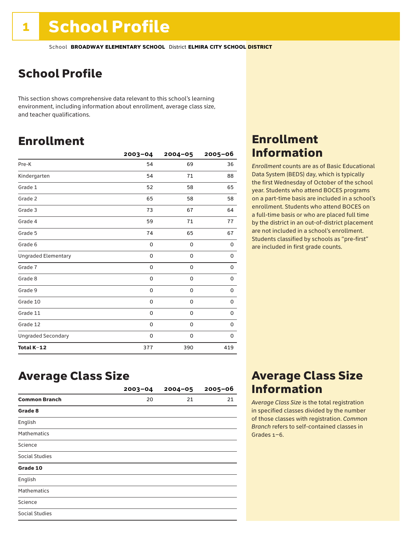# School Profile

This section shows comprehensive data relevant to this school's learning environment, including information about enrollment, average class size, and teacher qualifications.

# Enrollment

|                            | $2003 - 04$ | $2004 - 05$ | 2005-06     |
|----------------------------|-------------|-------------|-------------|
| Pre-K                      | 54          | 69          | 36          |
| Kindergarten               | 54          | 71          | 88          |
| Grade 1                    | 52          | 58          | 65          |
| Grade 2                    | 65          | 58          | 58          |
| Grade 3                    | 73          | 67          | 64          |
| Grade 4                    | 59          | 71          | 77          |
| Grade 5                    | 74          | 65          | 67          |
| Grade 6                    | 0           | 0           | 0           |
| <b>Ungraded Elementary</b> | 0           | 0           | 0           |
| Grade 7                    | 0           | $\mathbf 0$ | 0           |
| Grade 8                    | 0           | 0           | 0           |
| Grade 9                    | 0           | 0           | 0           |
| Grade 10                   | 0           | 0           | 0           |
| Grade 11                   | 0           | $\mathbf 0$ | 0           |
| Grade 12                   | 0           | $\mathbf 0$ | $\mathbf 0$ |
| <b>Ungraded Secondary</b>  | 0           | 0           | 0           |
| Total K-12                 | 377         | 390         | 419         |

## Enrollment Information

*Enrollment* counts are as of Basic Educational Data System (BEDS) day, which is typically the first Wednesday of October of the school year. Students who attend BOCES programs on a part-time basis are included in a school's enrollment. Students who attend BOCES on a full-time basis or who are placed full time by the district in an out-of-district placement are not included in a school's enrollment. Students classified by schools as "pre-first" are included in first grade counts.

## Average Class Size

|                      | $2003 - 04$ | $2004 - 05$ | $2005 - 06$ |
|----------------------|-------------|-------------|-------------|
| <b>Common Branch</b> | 20          | 21          | 21          |
| Grade 8              |             |             |             |
| English              |             |             |             |
| <b>Mathematics</b>   |             |             |             |
| Science              |             |             |             |
| Social Studies       |             |             |             |
| Grade 10             |             |             |             |
| English              |             |             |             |
| <b>Mathematics</b>   |             |             |             |
| Science              |             |             |             |
| Social Studies       |             |             |             |

# Average Class Size Information

*Average Class Size* is the total registration in specified classes divided by the number of those classes with registration. *Common Branch* refers to self-contained classes in Grades 1–6.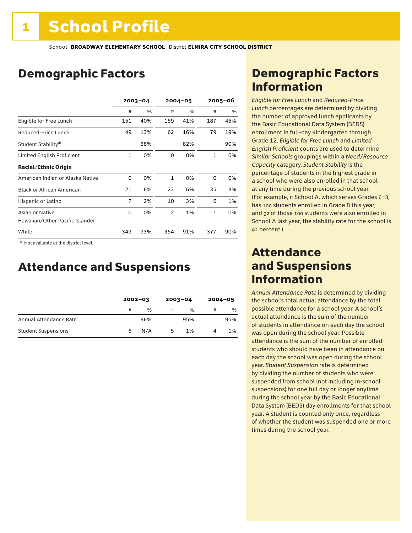# Demographic Factors

|                                  | $2003 - 04$  |     | $2004 - 05$    |     | $2005 - 06$  |     |
|----------------------------------|--------------|-----|----------------|-----|--------------|-----|
|                                  | #            | %   | #              | %   | #            | %   |
| Eligible for Free Lunch          | 151          | 40% | 159            | 41% | 187          | 45% |
| Reduced-Price Lunch              | 49           | 13% | 62             | 16% | 79           | 19% |
| Student Stability*               |              | 68% |                | 82% |              | 90% |
| Limited English Proficient       | $\mathbf{1}$ | 0%  | 0              | 0%  | 1            | 0%  |
| <b>Racial/Ethnic Origin</b>      |              |     |                |     |              |     |
| American Indian or Alaska Native | 0            | 0%  | $\mathbf{1}$   | 0%  | 0            | 0%  |
| <b>Black or African American</b> | 21           | 6%  | 23             | 6%  | 35           | 8%  |
| Hispanic or Latino               | 7            | 2%  | 10             | 3%  | 6            | 1%  |
| Asian or Native                  | 0            | 0%  | $\overline{2}$ | 1%  | $\mathbf{1}$ | 0%  |
| Hawaiian/Other Pacific Islander  |              |     |                |     |              |     |
| White                            | 349          | 93% | 354            | 91% | 377          | 90% |

 \* Not available at the district level.

# Attendance and Suspensions

|                            |   | $2002 - 03$   |   | $2003 - 04$   |   | $2004 - 05$ |
|----------------------------|---|---------------|---|---------------|---|-------------|
|                            | # | $\frac{0}{0}$ | # | $\frac{1}{2}$ | # | %           |
| Annual Attendance Rate     |   | 96%           |   | 95%           |   | 95%         |
| <b>Student Suspensions</b> | 6 | N/A           | 5 | 1%            |   | 1%          |

# Demographic Factors Information

*Eligible for Free Lunch* and *Reduced*-*Price Lunch* percentages are determined by dividing the number of approved lunch applicants by the Basic Educational Data System (BEDS) enrollment in full-day Kindergarten through Grade 12. *Eligible for Free Lunch* and *Limited English Proficient* counts are used to determine *Similar Schools* groupings within a *Need*/*Resource Capacity* category. *Student Stability* is the percentage of students in the highest grade in a school who were also enrolled in that school at any time during the previous school year. (For example, if School A, which serves Grades 6–8, has 100 students enrolled in Grade 8 this year, and 92 of those 100 students were also enrolled in School A last year, the stability rate for the school is 92 percent.)

## Attendance and Suspensions Information

*Annual Attendance Rate* is determined by dividing the school's total actual attendance by the total possible attendance for a school year. A school's actual attendance is the sum of the number of students in attendance on each day the school was open during the school year. Possible attendance is the sum of the number of enrolled students who should have been in attendance on each day the school was open during the school year. *Student Suspension* rate is determined by dividing the number of students who were suspended from school (not including in-school suspensions) for one full day or longer anytime during the school year by the Basic Educational Data System (BEDS) day enrollments for that school year. A student is counted only once, regardless of whether the student was suspended one or more times during the school year.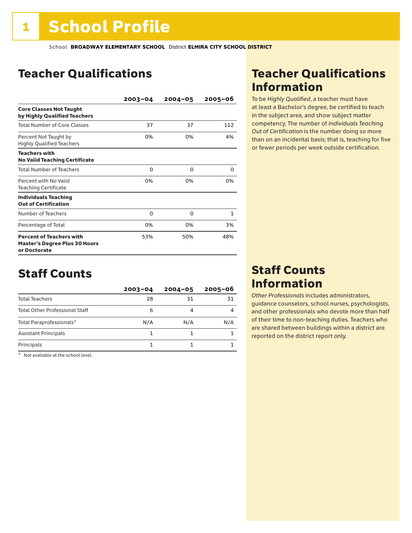# Teacher Qualifications

|                                                                                         | $2003 - 04$ | $2004 - 05$ | 2005-06      |
|-----------------------------------------------------------------------------------------|-------------|-------------|--------------|
| <b>Core Classes Not Taught</b><br>by Highly Qualified Teachers                          |             |             |              |
| Total Number of Core Classes                                                            | 37          | 37          | 112          |
| Percent Not Taught by<br><b>Highly Qualified Teachers</b>                               | 0%          | 0%          | 4%           |
| <b>Teachers with</b><br><b>No Valid Teaching Certificate</b>                            |             |             |              |
| <b>Total Number of Teachers</b>                                                         | 0           | $\Omega$    | 0            |
| Percent with No Valid<br><b>Teaching Certificate</b>                                    | 0%          | 0%          | 0%           |
| <b>Individuals Teaching</b><br><b>Out of Certification</b>                              |             |             |              |
| Number of Teachers                                                                      | 0           | O           | $\mathbf{1}$ |
| Percentage of Total                                                                     | 0%          | 0%          | 3%           |
| <b>Percent of Teachers with</b><br><b>Master's Degree Plus 30 Hours</b><br>or Doctorate | 53%         | 50%         | 48%          |

# Staff Counts

|                                       | $2003 - 04$ | $2004 - 05$ | $2005 - 06$ |
|---------------------------------------|-------------|-------------|-------------|
| <b>Total Teachers</b>                 | 28          | 31          | 31          |
| <b>Total Other Professional Staff</b> | 6           | 4           |             |
| Total Paraprofessionals*              | N/A         | N/A         | N/A         |
| <b>Assistant Principals</b>           |             |             |             |
| Principals                            |             |             |             |

\* Not available at the school level.

# Teacher Qualifications Information

To be *Highly Qualified*, a teacher must have at least a Bachelor's degree, be certified to teach in the subject area, and show subject matter competency. The number of *Individuals Teaching Out of Certification* is the number doing so more than on an incidental basis; that is, teaching for five or fewer periods per week outside certification.

## Staff Counts Information

*Other Professionals* includes administrators, guidance counselors, school nurses, psychologists, and other professionals who devote more than half of their time to non-teaching duties. Teachers who are shared between buildings within a district are reported on the district report only.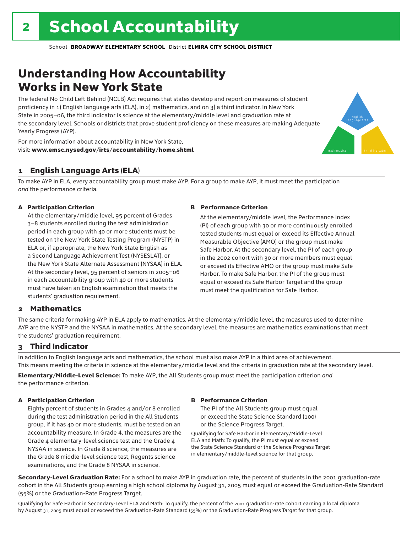# Understanding How Accountability Works in New York State

The federal No Child Left Behind (NCLB) Act requires that states develop and report on measures of student proficiency in 1) English language arts (ELA), in 2) mathematics, and on 3) a third indicator. In New York State in 2005–06, the third indicator is science at the elementary/middle level and graduation rate at the secondary level. Schools or districts that prove student proficiency on these measures are making Adequate Yearly Progress (AYP).



For more information about accountability in New York State, visit: www.emsc.nysed.gov/irts/accountability/home.shtml

## 1 English Language Arts (ELA)

To make AYP in ELA, every accountability group must make AYP. For a group to make AYP, it must meet the participation *and* the performance criteria.

## A Participation Criterion

At the elementary/middle level, 95 percent of Grades 3–8 students enrolled during the test administration period in each group with 40 or more students must be tested on the New York State Testing Program (NYSTP) in ELA or, if appropriate, the New York State English as a Second Language Achievement Test (NYSESLAT), or the New York State Alternate Assessment (NYSAA) in ELA. At the secondary level, 95 percent of seniors in 2005–06 in each accountability group with 40 or more students must have taken an English examination that meets the students' graduation requirement.

### B Performance Criterion

At the elementary/middle level, the Performance Index (PI) of each group with 30 or more continuously enrolled tested students must equal or exceed its Effective Annual Measurable Objective (AMO) or the group must make Safe Harbor. At the secondary level, the PI of each group in the 2002 cohort with 30 or more members must equal or exceed its Effective AMO or the group must make Safe Harbor. To make Safe Harbor, the PI of the group must equal or exceed its Safe Harbor Target and the group must meet the qualification for Safe Harbor.

## 2 Mathematics

The same criteria for making AYP in ELA apply to mathematics. At the elementary/middle level, the measures used to determine AYP are the NYSTP and the NYSAA in mathematics. At the secondary level, the measures are mathematics examinations that meet the students' graduation requirement.

## 3 Third Indicator

In addition to English language arts and mathematics, the school must also make AYP in a third area of achievement. This means meeting the criteria in science at the elementary/middle level and the criteria in graduation rate at the secondary level.

Elementary/Middle-Level Science: To make AYP, the All Students group must meet the participation criterion *and* the performance criterion.

### A Participation Criterion

Eighty percent of students in Grades 4 and/or 8 enrolled during the test administration period in the All Students group, if it has 40 or more students, must be tested on an accountability measure. In Grade 4, the measures are the Grade 4 elementary-level science test and the Grade 4 NYSAA in science. In Grade 8 science, the measures are the Grade 8 middle-level science test, Regents science examinations, and the Grade 8 NYSAA in science.

## B Performance Criterion

The PI of the All Students group must equal or exceed the State Science Standard (100) or the Science Progress Target.

Qualifying for Safe Harbor in Elementary/Middle-Level ELA and Math: To qualify, the PI must equal or exceed the State Science Standard or the Science Progress Target in elementary/middle-level science for that group.

Secondary-Level Graduation Rate: For a school to make AYP in graduation rate, the percent of students in the 2001 graduation-rate cohort in the All Students group earning a high school diploma by August 31, 2005 must equal or exceed the Graduation-Rate Standard (55%) or the Graduation-Rate Progress Target.

Qualifying for Safe Harbor in Secondary-Level ELA and Math: To qualify, the percent of the 2001 graduation-rate cohort earning a local diploma by August 31, 2005 must equal or exceed the Graduation-Rate Standard (55%) or the Graduation-Rate Progress Target for that group.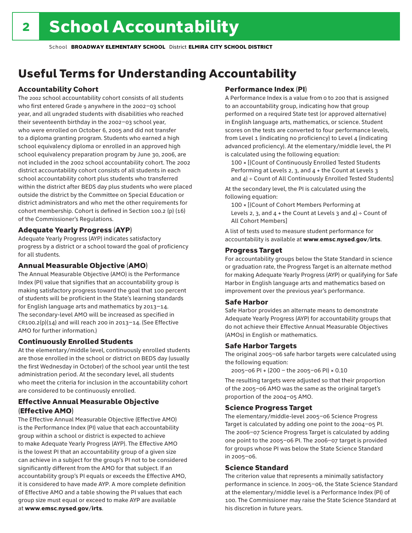# Useful Terms for Understanding Accountability

## Accountability Cohort

The 2002 school accountability cohort consists of all students who first entered Grade 9 anywhere in the 2002–03 school year, and all ungraded students with disabilities who reached their seventeenth birthday in the 2002–03 school year, who were enrolled on October 6, 2005 and did not transfer to a diploma granting program. Students who earned a high school equivalency diploma or enrolled in an approved high school equivalency preparation program by June 30, 2006, are not included in the 2002 school accountability cohort. The 2002 district accountability cohort consists of all students in each school accountability cohort plus students who transferred within the district after BEDS day plus students who were placed outside the district by the Committee on Special Education or district administrators and who met the other requirements for cohort membership. Cohort is defined in Section 100.2 (p) (16) of the Commissioner's Regulations.

## Adequate Yearly Progress (AYP)

Adequate Yearly Progress (AYP) indicates satisfactory progress by a district or a school toward the goal of proficiency for all students.

## Annual Measurable Objective (AMO)

The Annual Measurable Objective (AMO) is the Performance Index (PI) value that signifies that an accountability group is making satisfactory progress toward the goal that 100 percent of students will be proficient in the State's learning standards for English language arts and mathematics by 2013–14. The secondary-level AMO will be increased as specified in  $CR100.2(p)(14)$  and will reach 200 in 2013-14. (See Effective AMO for further information.)

## Continuously Enrolled Students

At the elementary/middle level, continuously enrolled students are those enrolled in the school or district on BEDS day (usually the first Wednesday in October) of the school year until the test administration period. At the secondary level, all students who meet the criteria for inclusion in the accountability cohort are considered to be continuously enrolled.

## Effective Annual Measurable Objective (Effective AMO)

The Effective Annual Measurable Objective (Effective AMO) is the Performance Index (PI) value that each accountability group within a school or district is expected to achieve to make Adequate Yearly Progress (AYP). The Effective AMO is the lowest PI that an accountability group of a given size can achieve in a subject for the group's PI not to be considered significantly different from the AMO for that subject. If an accountability group's PI equals or exceeds the Effective AMO, it is considered to have made AYP. A more complete definition of Effective AMO and a table showing the PI values that each group size must equal or exceed to make AYP are available at www.emsc.nysed.gov/irts.

## Performance Index (PI)

A Performance Index is a value from 0 to 200 that is assigned to an accountability group, indicating how that group performed on a required State test (or approved alternative) in English language arts, mathematics, or science. Student scores on the tests are converted to four performance levels, from Level 1 (indicating no proficiency) to Level 4 (indicating advanced proficiency). At the elementary/middle level, the PI is calculated using the following equation:

100 × [(Count of Continuously Enrolled Tested Students Performing at Levels 2, 3, and 4 + the Count at Levels 3 and  $4$ ) ÷ Count of All Continuously Enrolled Tested Students]

At the secondary level, the PI is calculated using the following equation:

100 × [(Count of Cohort Members Performing at Levels 2, 3, and  $4 +$  the Count at Levels 3 and  $4$ ) ÷ Count of All Cohort Members]

A list of tests used to measure student performance for accountability is available at www.emsc.nysed.gov/irts.

## Progress Target

For accountability groups below the State Standard in science or graduation rate, the Progress Target is an alternate method for making Adequate Yearly Progress (AYP) or qualifying for Safe Harbor in English language arts and mathematics based on improvement over the previous year's performance.

## Safe Harbor

Safe Harbor provides an alternate means to demonstrate Adequate Yearly Progress (AYP) for accountability groups that do not achieve their Effective Annual Measurable Objectives (AMOs) in English or mathematics.

## Safe Harbor Targets

The original 2005–06 safe harbor targets were calculated using the following equation:

2005–06 PI + (200 – the 2005–06 PI) × 0.10

The resulting targets were adjusted so that their proportion of the 2005–06 AMO was the same as the original target's proportion of the 2004–05 AMO.

## Science Progress Target

The elementary/middle-level 2005–06 Science Progress Target is calculated by adding one point to the 2004–05 PI. The 2006–07 Science Progress Target is calculated by adding one point to the 2005–06 PI. The 2006–07 target is provided for groups whose PI was below the State Science Standard in 2005–06.

## Science Standard

The criterion value that represents a minimally satisfactory performance in science. In 2005–06, the State Science Standard at the elementary/middle level is a Performance Index (PI) of 100. The Commissioner may raise the State Science Standard at his discretion in future years.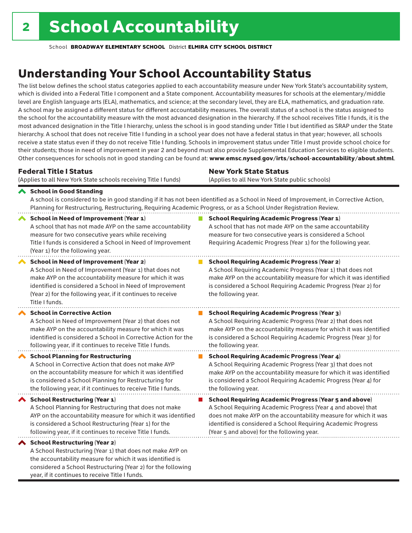considered a School Restructuring (Year 2) for the following

year, if it continues to receive Title I funds.

School **BROADWAY ELEMENTARY SCHOOL** District **ELMIRA CITY SCHOOL DISTRICT**

# Understanding Your School Accountability Status

The list below defines the school status categories applied to each accountability measure under New York State's accountability system, which is divided into a Federal Title I component and a State component. Accountability measures for schools at the elementary/middle level are English language arts (ELA), mathematics, and science; at the secondary level, they are ELA, mathematics, and graduation rate. A school may be assigned a different status for different accountability measures. The overall status of a school is the status assigned to the school for the accountability measure with the most advanced designation in the hierarchy. If the school receives Title I funds, it is the most advanced designation in the Title I hierarchy, unless the school is in good standing under Title I but identified as SRAP under the State hierarchy. A school that does not receive Title I funding in a school year does not have a federal status in that year; however, all schools receive a state status even if they do not receive Title I funding. Schools in improvement status under Title I must provide school choice for their students; those in need of improvement in year 2 and beyond must also provide Supplemental Education Services to eligible students. Other consequences for schools not in good standing can be found at: www.emsc.nysed.gov/irts/school-accountability/about.shtml.

| <b>Federal Title I Status</b>                                                                                                                                                                                                                                                                                   | <b>New York State Status</b>                                                                                                                                                                                                                                                      |
|-----------------------------------------------------------------------------------------------------------------------------------------------------------------------------------------------------------------------------------------------------------------------------------------------------------------|-----------------------------------------------------------------------------------------------------------------------------------------------------------------------------------------------------------------------------------------------------------------------------------|
| (Applies to all New York State schools receiving Title I funds)                                                                                                                                                                                                                                                 | (Applies to all New York State public schools)                                                                                                                                                                                                                                    |
| School in Good Standing<br>Planning for Restructuring, Restructuring, Requiring Academic Progress, or as a School Under Registration Review.                                                                                                                                                                    | A school is considered to be in good standing if it has not been identified as a School in Need of Improvement, in Corrective Action,                                                                                                                                             |
| <b>School in Need of Improvement (Year 1)</b><br>A school that has not made AYP on the same accountability<br>measure for two consecutive years while receiving<br>Title I funds is considered a School in Need of Improvement<br>(Year 1) for the following year.                                              | <b>School Requiring Academic Progress (Year 1)</b><br>A school that has not made AYP on the same accountability<br>measure for two consecutive years is considered a School<br>Requiring Academic Progress (Year 1) for the following year.                                       |
| <b>School in Need of Improvement (Year 2)</b><br>A School in Need of Improvement (Year 1) that does not<br>make AYP on the accountability measure for which it was<br>identified is considered a School in Need of Improvement<br>(Year 2) for the following year, if it continues to receive<br>Title I funds. | <b>School Requiring Academic Progress (Year 2)</b><br>A School Requiring Academic Progress (Year 1) that does not<br>make AYP on the accountability measure for which it was identified<br>is considered a School Requiring Academic Progress (Year 2) for<br>the following year. |
| <b>School in Corrective Action</b>                                                                                                                                                                                                                                                                              | <b>School Requiring Academic Progress (Year 3)</b>                                                                                                                                                                                                                                |
| A School in Need of Improvement (Year 2) that does not                                                                                                                                                                                                                                                          | A School Requiring Academic Progress (Year 2) that does not                                                                                                                                                                                                                       |
| make AYP on the accountability measure for which it was                                                                                                                                                                                                                                                         | make AYP on the accountability measure for which it was identified                                                                                                                                                                                                                |
| identified is considered a School in Corrective Action for the                                                                                                                                                                                                                                                  | is considered a School Requiring Academic Progress (Year 3) for                                                                                                                                                                                                                   |
| following year, if it continues to receive Title I funds.                                                                                                                                                                                                                                                       | the following year.                                                                                                                                                                                                                                                               |
| <b>School Planning for Restructuring</b>                                                                                                                                                                                                                                                                        | <b>School Requiring Academic Progress (Year 4)</b>                                                                                                                                                                                                                                |
| A School in Corrective Action that does not make AYP                                                                                                                                                                                                                                                            | A School Requiring Academic Progress (Year 3) that does not                                                                                                                                                                                                                       |
| on the accountability measure for which it was identified                                                                                                                                                                                                                                                       | make AYP on the accountability measure for which it was identified                                                                                                                                                                                                                |
| is considered a School Planning for Restructuring for                                                                                                                                                                                                                                                           | is considered a School Requiring Academic Progress (Year 4) for                                                                                                                                                                                                                   |
| the following year, if it continues to receive Title I funds.                                                                                                                                                                                                                                                   | the following year.                                                                                                                                                                                                                                                               |
| <b>School Restructuring (Year 1)</b>                                                                                                                                                                                                                                                                            | <b>School Requiring Academic Progress (Year 5 and above)</b>                                                                                                                                                                                                                      |
| A School Planning for Restructuring that does not make                                                                                                                                                                                                                                                          | A School Requiring Academic Progress (Year 4 and above) that                                                                                                                                                                                                                      |
| AYP on the accountability measure for which it was identified                                                                                                                                                                                                                                                   | does not make AYP on the accountability measure for which it was                                                                                                                                                                                                                  |
| is considered a School Restructuring (Year 1) for the                                                                                                                                                                                                                                                           | identified is considered a School Requiring Academic Progress                                                                                                                                                                                                                     |
| following year, if it continues to receive Title I funds.                                                                                                                                                                                                                                                       | (Year 5 and above) for the following year.                                                                                                                                                                                                                                        |
| ◆ School Restructuring (Year 2)<br>A School Restructuring (Year 1) that does not make AYP on<br>the accountability measure for which it was identified is                                                                                                                                                       |                                                                                                                                                                                                                                                                                   |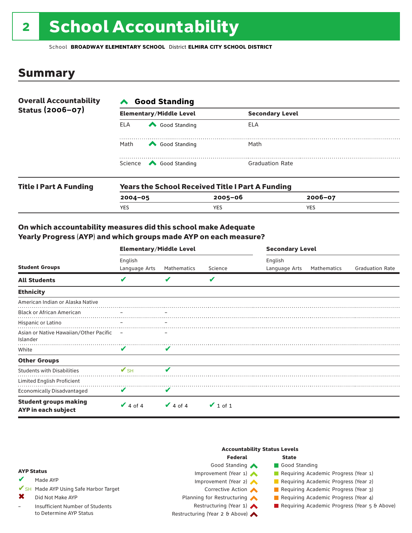# 2 School Accountability

School **BROADWAY ELEMENTARY SCHOOL** District **ELMIRA CITY SCHOOL DISTRICT**

## Summary

| <b>Overall Accountability</b><br>Status (2006-07) | <b>∧</b> Good Standing |                                                         |                        |  |  |  |
|---------------------------------------------------|------------------------|---------------------------------------------------------|------------------------|--|--|--|
|                                                   |                        | <b>Elementary/Middle Level</b>                          | <b>Secondary Level</b> |  |  |  |
|                                                   | ELA                    | Good Standing                                           | ELA                    |  |  |  |
|                                                   | Math                   | Good Standing                                           | Math                   |  |  |  |
|                                                   |                        | Science <a> Good Standing</a>                           | <b>Graduation Rate</b> |  |  |  |
| <b>Title I Part A Funding</b>                     |                        | <b>Years the School Received Title I Part A Funding</b> |                        |  |  |  |

| <b>Title Part A Funding</b> | rears the School Received Title Fraft A Funding |             |             |  |  |  |  |
|-----------------------------|-------------------------------------------------|-------------|-------------|--|--|--|--|
|                             | $2004 - 05$                                     | $2005 - 06$ | $2006 - 07$ |  |  |  |  |
|                             | <b>YES</b>                                      | YES         | YES         |  |  |  |  |
|                             |                                                 |             |             |  |  |  |  |

## On which accountability measures did this school make Adequate Yearly Progress (AYP) and which groups made AYP on each measure?

| <b>Student Groups</b>                               | <b>Elementary/Middle Level</b> |               |               | <b>Secondary Level</b>   |             |                        |  |
|-----------------------------------------------------|--------------------------------|---------------|---------------|--------------------------|-------------|------------------------|--|
|                                                     | English<br>Language Arts       | Mathematics   | Science       | English<br>Language Arts | Mathematics | <b>Graduation Rate</b> |  |
| <b>All Students</b>                                 | V                              |               | V             |                          |             |                        |  |
| <b>Ethnicity</b>                                    |                                |               |               |                          |             |                        |  |
| American Indian or Alaska Native                    |                                |               |               |                          |             |                        |  |
| <b>Black or African American</b>                    |                                |               |               |                          |             |                        |  |
| Hispanic or Latino                                  |                                |               |               |                          |             |                        |  |
| Asian or Native Hawaiian/Other Pacific<br>Islander  |                                |               |               |                          |             |                        |  |
| White                                               | V                              | V             |               |                          |             |                        |  |
| <b>Other Groups</b>                                 |                                |               |               |                          |             |                        |  |
| <b>Students with Disabilities</b>                   | $\mathbf{V}_{\text{SH}}$       | V             |               |                          |             |                        |  |
| Limited English Proficient                          |                                |               |               |                          |             |                        |  |
| <b>Economically Disadvantaged</b>                   | V                              | V             |               |                          |             |                        |  |
| <b>Student groups making</b><br>AYP in each subject | $\vee$ 4 of 4                  | $\vee$ 4 of 4 | $\vee$ 1 of 1 |                          |             |                        |  |

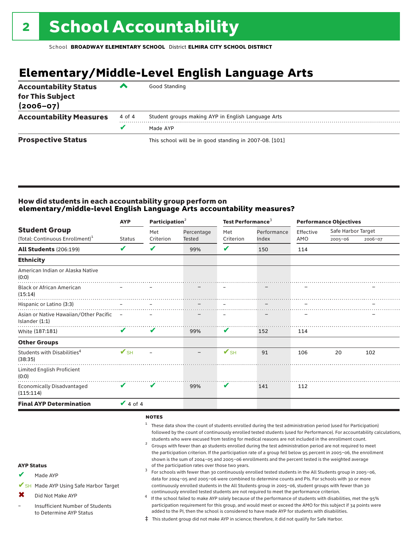# **Elementary/Middle-Level English Language Arts**

| <b>Accountability Status</b><br>for This Subject<br>$(2006 - 07)$ | ▰      | Good Standing                                          |
|-------------------------------------------------------------------|--------|--------------------------------------------------------|
| <b>Accountability Measures</b>                                    | 4 of 4 | Student groups making AYP in English Language Arts     |
|                                                                   |        | Made AYP                                               |
| <b>Prospective Status</b>                                         |        | This school will be in good standing in 2007-08. [101] |

## How did students in each accountability group perform on **elementary/middle-level English Language Arts accountability measures?**

| <b>Student Group</b><br>(Total: Continuous Enrollment) <sup>1</sup> | <b>AYP</b>      | Participation <sup>2</sup> |                             | Test Performance <sup>3</sup> |                      |                          | <b>Performance Objectives</b> |         |  |
|---------------------------------------------------------------------|-----------------|----------------------------|-----------------------------|-------------------------------|----------------------|--------------------------|-------------------------------|---------|--|
|                                                                     | <b>Status</b>   | Met<br>Criterion           | Percentage<br><b>Tested</b> | Met<br>Criterion              | Performance<br>Index | Effective<br>AMO         | Safe Harbor Target<br>2005-06 | 2006-07 |  |
| <b>All Students (206:199)</b>                                       | V               | V                          | 99%                         | V                             | 150                  | 114                      |                               |         |  |
| <b>Ethnicity</b>                                                    |                 |                            |                             |                               |                      |                          |                               |         |  |
| American Indian or Alaska Native<br>(0:0)                           |                 |                            |                             |                               |                      |                          |                               |         |  |
| <b>Black or African American</b><br>(15:14)                         |                 |                            |                             |                               |                      |                          |                               |         |  |
| Hispanic or Latino (3:3)                                            |                 |                            |                             | $\overline{\phantom{m}}$      |                      | $\overline{\phantom{a}}$ |                               |         |  |
| Asian or Native Hawaiian/Other Pacific -<br>Islander $(1:1)$        |                 | $\qquad \qquad -$          |                             | $\overline{\phantom{m}}$      |                      |                          |                               |         |  |
| White (187:181)                                                     | $\mathbf v$     | V                          | 99%                         | V                             | 152                  | 114                      |                               |         |  |
| <b>Other Groups</b>                                                 |                 |                            |                             |                               |                      |                          |                               |         |  |
| Students with Disabilities <sup>4</sup><br>(38:35)                  | $V_{\text{SH}}$ |                            | $\overline{\phantom{0}}$    | $V_{\text{SH}}$               | 91                   | 106                      | 20                            | 102     |  |
| Limited English Proficient<br>(0:0)                                 |                 |                            |                             |                               |                      |                          |                               |         |  |
| <b>Economically Disadvantaged</b><br>(115:114)                      | V               | V                          | 99%                         | V                             | 141                  | 112                      |                               |         |  |
| <b>Final AYP Determination</b>                                      | $\vee$ 4 of 4   |                            |                             |                               |                      |                          |                               |         |  |
|                                                                     |                 | <b>NOTEC</b>               |                             |                               |                      |                          |                               |         |  |

### notes

- <sup>1</sup> These data show the count of students enrolled during the test administration period (used for Participation) followed by the count of continuously enrolled tested students (used for Performance). For accountability calculations, students who were excused from testing for medical reasons are not included in the enrollment count.<br><sup>2</sup> Groups with fewer than 40 students enrolled during the test administration period are not required to meet
- the participation criterion. If the participation rate of a group fell below 95 percent in 2005–06, the enrollment shown is the sum of 2004–05 and 2005–06 enrollments and the percent tested is the weighted average<br>of the participation rates over those two years. of the participation rates over those two years. <sup>3</sup> For schools with fewer than 30 continuously enrolled tested students in the All Students group in 2005–06,
- AYP Status
- Made AYP ✔
- ✔SH Made AYP Using Safe Harbor Target
- Did Not Make AYP ✖
- Insufficient Number of Students to Determine AYP Status –
- continuously enrolled tested students are not required to meet the performance criterion.<br>If the school failed to make AYP solely because of the performance of students with disabilities, met the 95% participation requirement for this group, and would meet or exceed the AMO for this subject if 34 points were added to the PI, then the school is considered to have made AYP for students with disabilities.

data for 2004–05 and 2005–06 were combined to determine counts and PIs. For schools with 30 or more continuously enrolled students in the All Students group in 2005–06, student groups with fewer than 30

‡ This student group did not make AYP in science; therefore, it did not qualify for Safe Harbor.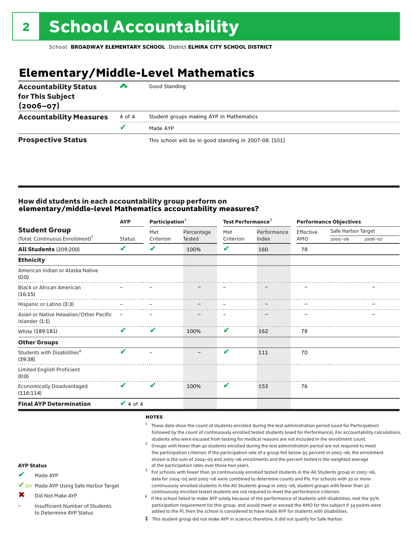# **Elementary/Middle-Level Mathematics**

| <b>Accountability Status</b><br>for This Subject<br>$(2006 - 07)$ | ▰      | Good Standing                                          |
|-------------------------------------------------------------------|--------|--------------------------------------------------------|
| <b>Accountability Measures</b>                                    | 4 of 4 | Student groups making AYP in Mathematics               |
|                                                                   |        | Made AYP                                               |
| <b>Prospective Status</b>                                         |        | This school will be in good standing in 2007-08. [101] |

## How did students in each accountability group perform on **elementary/middle-level Mathematics accountability measures?**

|                                                              | <b>AYP</b>                 | Participation <sup>2</sup> |            | Test Performance <sup>3</sup> |             | <b>Performance Objectives</b> |                    |         |
|--------------------------------------------------------------|----------------------------|----------------------------|------------|-------------------------------|-------------|-------------------------------|--------------------|---------|
| <b>Student Group</b>                                         |                            | Met                        | Percentage | Met                           | Performance | Effective                     | Safe Harbor Target |         |
| (Total: Continuous Enrollment) <sup>1</sup>                  | <b>Status</b>              | Criterion                  | Tested     | Criterion                     | Index       | AMO                           | $2005 - 06$        | 2006-07 |
| <b>All Students (209:200)</b>                                | V                          | V                          | 100%       | V                             | 160         | 78                            |                    |         |
| <b>Ethnicity</b>                                             |                            |                            |            |                               |             |                               |                    |         |
| American Indian or Alaska Native<br>(0:0)                    |                            |                            |            |                               |             |                               |                    |         |
| <b>Black or African American</b><br>(16:15)                  |                            |                            |            |                               |             |                               |                    |         |
| Hispanic or Latino (3:3)                                     |                            |                            |            |                               |             |                               |                    |         |
| Asian or Native Hawaiian/Other Pacific -<br>Islander $(1:1)$ |                            |                            |            |                               |             |                               |                    |         |
| White (189:181)                                              | V                          | V                          | 100%       | V                             | 162         | 78                            |                    |         |
| <b>Other Groups</b>                                          |                            |                            |            |                               |             |                               |                    |         |
| Students with Disabilities <sup>4</sup><br>(39:38)           | $\boldsymbol{\mathcal{U}}$ |                            |            | V                             | 111         | 70                            |                    |         |
| Limited English Proficient<br>(0:0)                          |                            |                            |            |                               |             |                               |                    |         |
| <b>Economically Disadvantaged</b><br>(116:114)               | V                          | V                          | 100%       | V                             | 153         | 76                            |                    |         |
| <b>Final AYP Determination</b>                               | $\vee$ 4 of 4              |                            |            |                               |             |                               |                    |         |
|                                                              |                            |                            |            |                               |             |                               |                    |         |

#### **NOTES**

- <sup>1</sup> These data show the count of students enrolled during the test administration period (used for Participation) followed by the count of continuously enrolled tested students (used for Performance). For accountability calculations, students who were excused from testing for medical reasons are not included in the enrollment count.<br><sup>2</sup> Groups with fewer than 40 students enrolled during the test administration period are not required to meet
- the participation criterion. If the participation rate of a group fell below 95 percent in 2005–06, the enrollment shown is the sum of 2004–05 and 2005–06 enrollments and the percent tested is the weighted average<br>of the participation rates over those two years. of the participation rates over those two years. <sup>3</sup> For schools with fewer than 30 continuously enrolled tested students in the All Students group in 2005–06,
- AYP Status
- Made AYP ✔
- ✔SH Made AYP Using Safe Harbor Target
- Did Not Make AYP ✖
- Insufficient Number of Students to Determine AYP Status –
- continuously enrolled tested students are not required to meet the performance criterion.<br>If the school failed to make AYP solely because of the performance of students with disabilities, met the 95% participation requirement for this group, and would meet or exceed the AMO for this subject if 34 points were added to the PI, then the school is considered to have made AYP for students with disabilities.

data for 2004–05 and 2005–06 were combined to determine counts and PIs. For schools with 30 or more continuously enrolled students in the All Students group in 2005–06, student groups with fewer than 30

‡ This student group did not make AYP in science; therefore, it did not qualify for Safe Harbor.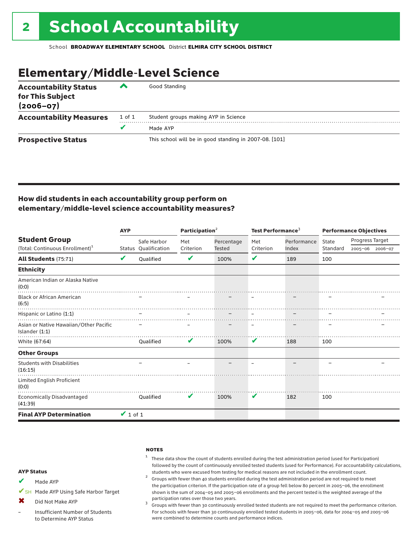# Elementary/Middle-Level Science

| <b>Accountability Status</b><br>for This Subject<br>$(2006 - 07)$ | ▞      | Good Standing                                          |
|-------------------------------------------------------------------|--------|--------------------------------------------------------|
| <b>Accountability Measures</b>                                    | 1 of 1 | Student groups making AYP in Science                   |
|                                                                   | v      | Made AYP                                               |
| <b>Prospective Status</b>                                         |        | This school will be in good standing in 2007-08. [101] |

## How did students in each accountability group perform on elementary/middle-level science accountability measures?

|                                                            | <b>AYP</b>    |                      | Participation $2$ |               | Test Performance <sup>3</sup> |             | <b>Performance Objectives</b> |                 |  |
|------------------------------------------------------------|---------------|----------------------|-------------------|---------------|-------------------------------|-------------|-------------------------------|-----------------|--|
| <b>Student Group</b>                                       |               | Safe Harbor          | Met               | Percentage    | Met                           | Performance | <b>State</b>                  | Progress Target |  |
| (Total: Continuous Enrollment) <sup>1</sup>                |               | Status Qualification | Criterion         | <b>Tested</b> | Criterion                     | Index       | Standard                      | 2005-06 2006-07 |  |
| <b>All Students (75:71)</b>                                | V             | Oualified            | V                 | 100%          | V                             | 189         | 100                           |                 |  |
| <b>Ethnicity</b>                                           |               |                      |                   |               |                               |             |                               |                 |  |
| American Indian or Alaska Native<br>(0:0)                  |               |                      |                   |               |                               |             |                               |                 |  |
| <b>Black or African American</b><br>(6:5)                  |               |                      |                   |               |                               |             |                               |                 |  |
| Hispanic or Latino (1:1)                                   |               |                      |                   |               |                               |             |                               |                 |  |
| Asian or Native Hawaiian/Other Pacific<br>Islander $(1:1)$ |               |                      |                   |               |                               |             |                               |                 |  |
| White (67:64)                                              |               | <b>Oualified</b>     | V                 | 100%          | V                             | 188         | 100                           |                 |  |
| <b>Other Groups</b>                                        |               |                      |                   |               |                               |             |                               |                 |  |
| <b>Students with Disabilities</b><br>(16:15)               |               |                      |                   |               |                               |             |                               |                 |  |
| Limited English Proficient<br>(0:0)                        |               |                      |                   |               |                               |             |                               |                 |  |
| Economically Disadvantaged<br>(41:39)                      |               | Oualified            | V                 | 100%          | V                             | 182         | 100                           |                 |  |
| <b>Final AYP Determination</b>                             | $\vee$ 1 of 1 |                      |                   |               |                               |             |                               |                 |  |

#### **NOTES**

## $1$  These data show the count of students enrolled during the test administration period (used for Participation) followed by the count of continuously enrolled tested students (used for Performance). For accountability calculations,

students who were excused from testing for medical reasons are not included in the enrollment count. <sup>2</sup> Groups with fewer than <sup>40</sup> students enrolled during the test administration period are not required to meet the participation criterion. If the participation rate of a group fell below 80 percent in 2005–06, the enrollment shown is the sum of 2004–05 and 2005–06 enrollments and the percent tested is the weighted average of the

participation rates over those two years.<br><sup>3</sup> Groups with fewer than 30 continuously enrolled tested students are not required to meet the performance criterion. For schools with fewer than 30 continuously enrolled tested students in 2005–06, data for 2004–05 and 2005–06 were combined to determine counts and performance indices.

#### AYP Status

- Made AYP ✔
- ✔SH Made AYP Using Safe Harbor Target
- Did Not Make AYP  $\mathbf x$
- Insufficient Number of Students to Determine AYP Status –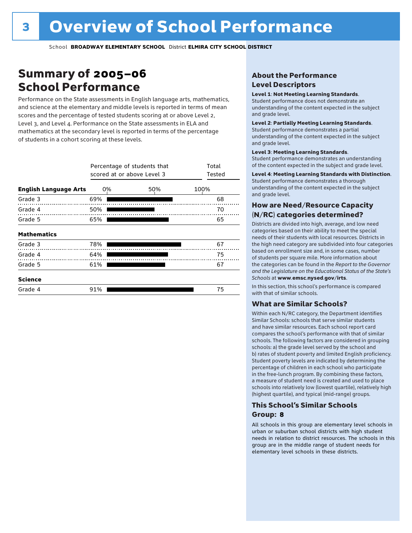# Summary of 2005–06 School Performance

Performance on the State assessments in English language arts, mathematics, and science at the elementary and middle levels is reported in terms of mean scores and the percentage of tested students scoring at or above Level 2, Level 3, and Level 4. Performance on the State assessments in ELA and mathematics at the secondary level is reported in terms of the percentage of students in a cohort scoring at these levels.

|                              |     | Percentage of students that<br>scored at or above Level 3 |      |  |  |  |  |  |
|------------------------------|-----|-----------------------------------------------------------|------|--|--|--|--|--|
| <b>English Language Arts</b> | 0%  | 50%                                                       | 100% |  |  |  |  |  |
| Grade 3                      | 69% |                                                           | 68   |  |  |  |  |  |
| Grade 4                      | 50% |                                                           | 70   |  |  |  |  |  |
| Grade 5                      | 65% |                                                           | 65   |  |  |  |  |  |
| <b>Mathematics</b>           |     |                                                           |      |  |  |  |  |  |
| Grade 3                      | 78% |                                                           | 67   |  |  |  |  |  |
| Grade 4                      | 64% |                                                           | 75   |  |  |  |  |  |
| Grade 5                      | 61% |                                                           | 67   |  |  |  |  |  |
| <b>Science</b>               |     |                                                           |      |  |  |  |  |  |
| Grade 4                      | 91% |                                                           | 75   |  |  |  |  |  |

## About the Performance Level Descriptors

### Level 1: Not Meeting Learning Standards.

Student performance does not demonstrate an understanding of the content expected in the subject and grade level.

### Level 2: Partially Meeting Learning Standards.

Student performance demonstrates a partial understanding of the content expected in the subject and grade level.

### Level 3: Meeting Learning Standards.

Student performance demonstrates an understanding of the content expected in the subject and grade level.

### Level 4: Meeting Learning Standards with Distinction.

Student performance demonstrates a thorough understanding of the content expected in the subject and grade level.

## How are Need/Resource Capacity (N/RC) categories determined?

Districts are divided into high, average, and low need categories based on their ability to meet the special needs of their students with local resources. Districts in the high need category are subdivided into four categories based on enrollment size and, in some cases, number of students per square mile. More information about the categories can be found in the *Report to the Governor and the Legislature on the Educational Status of the State's Schools* at www.emsc.nysed.gov/irts.

In this section, this school's performance is compared with that of similar schools.

### What are Similar Schools?

Within each N/RC category, the Department identifies Similar Schools: schools that serve similar students and have similar resources. Each school report card compares the school's performance with that of similar schools. The following factors are considered in grouping schools: a) the grade level served by the school and b) rates of student poverty and limited English proficiency. Student poverty levels are indicated by determining the percentage of children in each school who participate in the free-lunch program. By combining these factors, a measure of student need is created and used to place schools into relatively low (lowest quartile), relatively high (highest quartile), and typical (mid-range) groups.

## This School's Similar Schools Group: **8**

All schools in this group are elementary level schools in urban or suburban school districts with high student needs in relation to district resources. The schools in this group are in the middle range of student needs for elementary level schools in these districts.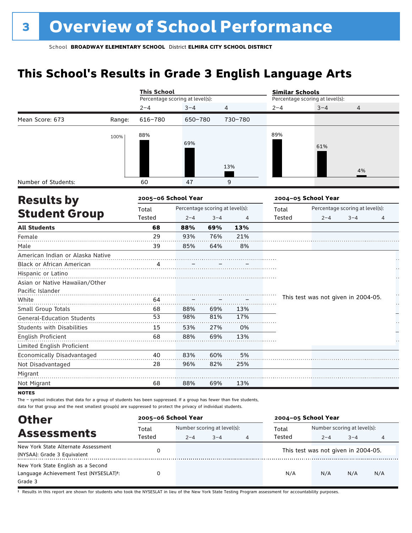# **This School's Results in Grade 3 English Language Arts**

|                                   |        | <b>This School</b>              |                                 |                |         | <b>Similar Schools</b> |                                     |                                 |    |  |
|-----------------------------------|--------|---------------------------------|---------------------------------|----------------|---------|------------------------|-------------------------------------|---------------------------------|----|--|
|                                   |        | Percentage scoring at level(s): |                                 |                |         |                        | Percentage scoring at level(s):     |                                 |    |  |
|                                   |        | $2 - 4$                         | $3 - 4$                         | $\overline{4}$ |         | $2 - 4$                | $3 - 4$                             | $\overline{4}$                  |    |  |
| Mean Score: 673                   | Range: | 616-780                         | 650-780                         |                | 730-780 |                        |                                     |                                 |    |  |
|                                   | 100%   | 88%                             |                                 |                |         | 89%                    |                                     |                                 |    |  |
|                                   |        |                                 | 69%                             |                |         |                        | 61%                                 |                                 |    |  |
|                                   |        |                                 |                                 |                |         |                        |                                     |                                 |    |  |
|                                   |        |                                 |                                 |                |         |                        |                                     |                                 |    |  |
|                                   |        |                                 |                                 |                | 13%     |                        |                                     | 4%                              |    |  |
| Number of Students:               |        | 60                              | 47                              |                | 9       |                        |                                     |                                 |    |  |
| <b>Results by</b>                 |        | 2005-06 School Year             |                                 |                |         |                        | 2004-05 School Year                 |                                 |    |  |
|                                   |        | Total                           | Percentage scoring at level(s): |                |         | Total                  |                                     | Percentage scoring at level(s): |    |  |
| <b>Student Group</b>              |        | Tested                          | $2 - 4$                         | $3 - 4$        | 4       | Tested                 | $2 - 4$                             | $3 - 4$                         | 4  |  |
| <b>All Students</b>               |        | 68                              | 88%                             | 69%            | 13%     |                        |                                     |                                 |    |  |
| Female                            |        | 29                              | 93%                             | 76%            | 21%     |                        |                                     |                                 |    |  |
| Male                              |        | 39                              | 85%                             | 64%            | 8%      |                        |                                     |                                 |    |  |
| American Indian or Alaska Native  |        |                                 |                                 |                |         |                        |                                     |                                 |    |  |
| Black or African American         |        |                                 |                                 |                |         |                        |                                     |                                 |    |  |
| Hispanic or Latino                |        |                                 |                                 |                |         |                        |                                     |                                 |    |  |
| Asian or Native Hawaiian/Other    |        |                                 |                                 |                |         |                        |                                     |                                 |    |  |
| Pacific Islander                  |        |                                 |                                 |                |         |                        |                                     |                                 | ÷  |  |
| White                             |        | 64                              |                                 |                |         |                        | This test was not given in 2004-05. |                                 | μ, |  |
| Small Group Totals                |        | 68                              | 88%                             | 69%            | 13%     |                        |                                     |                                 |    |  |
| <b>General-Education Students</b> |        | 53                              | 98%                             | 81%            | 17%     |                        |                                     |                                 |    |  |
| <b>Students with Disabilities</b> |        | 15                              | 53%                             | 27%            | 0%      |                        |                                     |                                 |    |  |
| English Proficient                |        | 68                              | 88%                             | 69%            | 13%     |                        |                                     |                                 |    |  |
| Limited English Proficient        |        |                                 |                                 |                |         |                        |                                     |                                 |    |  |
| Economically Disadvantaged        |        | 40                              | 83%                             | 60%            | 5%      |                        |                                     |                                 |    |  |
| Not Disadvantaged                 |        | 28                              | 96%                             | 82%            | 25%     |                        |                                     |                                 |    |  |
| Migrant                           |        |                                 |                                 |                |         |                        |                                     |                                 |    |  |
| Not Migrant                       |        | 68                              | 88%                             | 69%            | 13%     |                        |                                     |                                 |    |  |
| <b>NOTES</b>                      |        |                                 |                                 |                |         |                        |                                     |                                 |    |  |

The – symbol indicates that data for a group of students has been suppressed. If a group has fewer than five students, data for that group and the next smallest group(s) are suppressed to protect the privacy of individual students.

| <b>Other</b>                                                                            | 2005-06 School Year |                             |         |   | 2004-05 School Year |                                     |         |     |
|-----------------------------------------------------------------------------------------|---------------------|-----------------------------|---------|---|---------------------|-------------------------------------|---------|-----|
| <b>Assessments</b>                                                                      | Total               | Number scoring at level(s): |         |   | Total               | Number scoring at level(s):         |         |     |
|                                                                                         | Tested              | $2 - 4$                     | $3 - 4$ | 4 | Tested              | $2 - 4$                             | $3 - 4$ | 4   |
| New York State Alternate Assessment<br>(NYSAA): Grade 3 Equivalent                      | 0                   |                             |         |   |                     | This test was not given in 2004-05. |         |     |
| New York State English as a Second<br>Language Achievement Test (NYSESLAT)t:<br>Grade 3 |                     |                             |         |   | N/A                 | N/A                                 | N/A     | N/A |

† Results in this report are shown for students who took the NYSESLAT in lieu of the New York State Testing Program assessment for accountability purposes.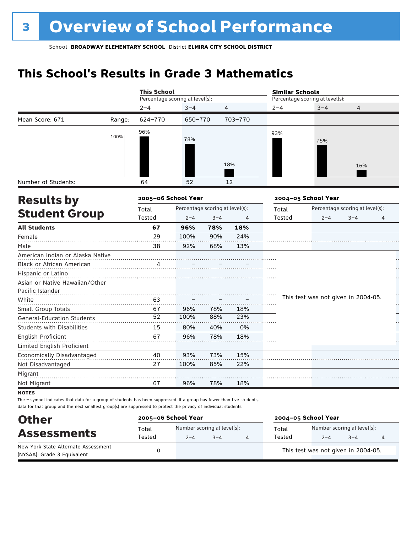# **This School's Results in Grade 3 Mathematics**

|                                   |        | <b>This School</b>              |                                 |                |         | <b>Similar Schools</b> |                                     |                                 |    |
|-----------------------------------|--------|---------------------------------|---------------------------------|----------------|---------|------------------------|-------------------------------------|---------------------------------|----|
|                                   |        | Percentage scoring at level(s): |                                 |                |         |                        | Percentage scoring at level(s):     |                                 |    |
|                                   |        | $2 - 4$                         | $3 - 4$                         | $\overline{4}$ |         | $2 - 4$                | $3 - 4$                             | $\overline{4}$                  |    |
| Mean Score: 671                   | Range: | 624-770                         | 650-770                         |                | 703-770 |                        |                                     |                                 |    |
|                                   | 100%   | 96%                             | 78%                             |                | 18%     | 93%                    | 75%                                 | 16%                             |    |
| Number of Students:               |        | 64                              | 52                              |                | 12      |                        |                                     |                                 |    |
| <b>Results by</b>                 |        | 2005-06 School Year             |                                 |                |         |                        | 2004-05 School Year                 |                                 |    |
|                                   |        | Total                           | Percentage scoring at level(s): |                |         | Total                  |                                     | Percentage scoring at level(s): |    |
| <b>Student Group</b>              |        | Tested                          | $2 - 4$                         | $3 - 4$        | 4       | Tested                 | $2 - 4$                             | $3 - 4$                         | 4  |
| <b>All Students</b>               |        | 67                              | 96%                             | 78%            | 18%     |                        |                                     |                                 |    |
| Female                            |        | 29                              | 100%                            | 90%            | 24%     |                        |                                     |                                 |    |
| Male                              |        | 38                              | 92%                             | 68%            | 13%     |                        |                                     |                                 |    |
| American Indian or Alaska Native  |        |                                 |                                 |                |         |                        |                                     |                                 |    |
| Black or African American         |        | 4                               |                                 |                |         |                        |                                     |                                 |    |
| Hispanic or Latino                |        |                                 |                                 |                |         |                        |                                     |                                 |    |
| Asian or Native Hawaiian/Other    |        |                                 |                                 |                |         |                        |                                     |                                 |    |
| Pacific Islander                  |        |                                 |                                 |                |         |                        |                                     |                                 | H  |
| White                             |        | 63                              |                                 |                |         |                        | This test was not given in 2004-05. |                                 | μ, |
| Small Group Totals                |        | 67                              | 96%                             | 78%            | 18%     |                        |                                     |                                 |    |
| <b>General-Education Students</b> |        | 52                              | 100%                            | 88%            | 23%     |                        |                                     |                                 |    |
| <b>Students with Disabilities</b> |        | 15                              | 80%                             | 40%            | 0%      |                        |                                     |                                 |    |
| English Proficient                |        | 67                              | 96%                             | 78%            | 18%     |                        |                                     |                                 |    |
| Limited English Proficient        |        |                                 |                                 |                |         |                        |                                     |                                 |    |
| Economically Disadvantaged        |        | 40                              | 93%                             | 73%            | 15%     |                        |                                     |                                 |    |
| Not Disadvantaged                 |        | 27                              | 100%                            | 85%            | 22%     |                        |                                     |                                 |    |
| Migrant                           |        |                                 |                                 |                |         |                        |                                     |                                 |    |
| Not Migrant                       |        | 67                              | 96%                             | 78%            | 18%     |                        |                                     |                                 |    |
| <b>NOTEC</b>                      |        |                                 |                                 |                |         |                        |                                     |                                 |    |

not

The – symbol indicates that data for a group of students has been suppressed. If a group has fewer than five students, data for that group and the next smallest group(s) are suppressed to protect the privacy of individual students.

| <b>Other</b>                                                       | 2005-06 School Year |         |                                        | 2004-05 School Year |                                        |         |  |  |
|--------------------------------------------------------------------|---------------------|---------|----------------------------------------|---------------------|----------------------------------------|---------|--|--|
| <b>Assessments</b>                                                 | Total<br>Tested     | $2 - 4$ | Number scoring at level(s):<br>$3 - 4$ | Total<br>Tested     | Number scoring at level(s):<br>$2 - 4$ | $3 - 4$ |  |  |
| New York State Alternate Assessment<br>(NYSAA): Grade 3 Equivalent |                     |         |                                        |                     | This test was not given in 2004-05.    |         |  |  |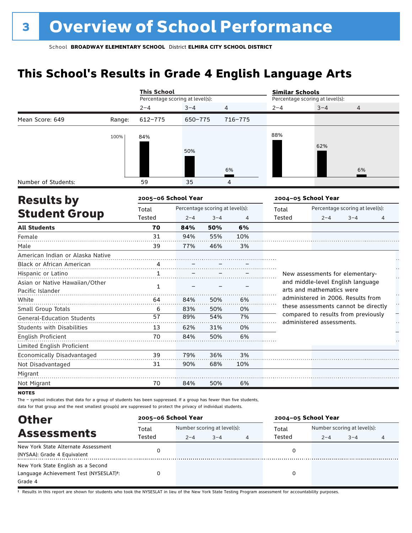# **This School's Results in Grade 4 English Language Arts**

|                                   |        | <b>This School</b>              |                                 |         |         | <b>Similar Schools</b> |                                                                             |                                 |                   |  |
|-----------------------------------|--------|---------------------------------|---------------------------------|---------|---------|------------------------|-----------------------------------------------------------------------------|---------------------------------|-------------------|--|
|                                   |        | Percentage scoring at level(s): |                                 |         |         |                        | Percentage scoring at level(s):                                             |                                 |                   |  |
|                                   |        | $2 - 4$                         | $3 - 4$                         | 4       |         | $2 - 4$                | $3 - 4$                                                                     | $\overline{4}$                  |                   |  |
| Mean Score: 649                   | Range: | $612 - 775$                     | 650-775                         |         | 716-775 |                        |                                                                             |                                 |                   |  |
|                                   | 100%   | 84%                             |                                 |         |         | 88%                    |                                                                             |                                 |                   |  |
|                                   |        |                                 |                                 |         |         |                        | 62%                                                                         |                                 |                   |  |
|                                   |        |                                 | 50%                             |         |         |                        |                                                                             |                                 |                   |  |
|                                   |        |                                 |                                 |         |         |                        |                                                                             |                                 |                   |  |
|                                   |        |                                 |                                 |         | 6%      |                        |                                                                             | 6%                              |                   |  |
| Number of Students:               |        | 59                              | 35                              |         | 4       |                        |                                                                             |                                 |                   |  |
| <b>Results by</b>                 |        | 2005-06 School Year             |                                 |         |         |                        | 2004-05 School Year                                                         |                                 |                   |  |
|                                   |        | Total                           | Percentage scoring at level(s): |         |         | Total                  |                                                                             | Percentage scoring at level(s): |                   |  |
| <b>Student Group</b>              |        | Tested                          | $2 - 4$                         | $3 - 4$ | 4       | <b>Tested</b>          | $2 - 4$                                                                     | $3 - 4$                         | 4                 |  |
| <b>All Students</b>               |        | 70                              | 84%                             | 50%     | 6%      |                        |                                                                             |                                 |                   |  |
| Female                            |        | 31                              | 94%                             | 55%     | 10%     |                        |                                                                             |                                 |                   |  |
| Male                              |        | 39                              | 77%                             | 46%     | 3%      |                        |                                                                             |                                 |                   |  |
| American Indian or Alaska Native  |        |                                 |                                 |         |         |                        |                                                                             |                                 |                   |  |
| Black or African American         |        |                                 |                                 |         |         |                        |                                                                             |                                 |                   |  |
| Hispanic or Latino                |        | 1                               |                                 |         |         |                        | New assessments for elementary-                                             |                                 | J.                |  |
| Asian or Native Hawaiian/Other    |        | $\mathbf{1}$                    |                                 |         |         |                        | and middle-level English language                                           |                                 |                   |  |
| Pacific Islander                  |        |                                 |                                 |         |         |                        | arts and mathematics were                                                   |                                 |                   |  |
| White                             |        | 64                              | 84%                             | 50%     | 6%      |                        | administered in 2006. Results from                                          |                                 | $\prod_{i=1}^{n}$ |  |
| Small Group Totals                |        | 6                               | 83%                             | 50%     | 0%      |                        | these assessments cannot be directly<br>compared to results from previously |                                 |                   |  |
| <b>General-Education Students</b> |        | 57                              | 89%                             | 54%     | 7%      |                        | administered assessments.                                                   |                                 | μ.                |  |
| <b>Students with Disabilities</b> |        | 13                              | 62%                             | 31%     | 0%      |                        |                                                                             |                                 |                   |  |
| <b>English Proficient</b>         |        | 70                              | 84%                             | 50%     | 6%      |                        |                                                                             |                                 |                   |  |
| Limited English Proficient        |        |                                 |                                 |         |         |                        |                                                                             |                                 |                   |  |
| Economically Disadvantaged        |        | 39                              | 79%                             | 36%     | 3%      |                        |                                                                             |                                 |                   |  |
| Not Disadvantaged                 |        | 31                              | 90%                             | 68%     | 10%     |                        |                                                                             |                                 |                   |  |
| Migrant                           |        |                                 |                                 |         |         |                        |                                                                             |                                 |                   |  |
| Not Migrant                       |        | 70                              | 84%                             | 50%     | 6%      |                        |                                                                             |                                 |                   |  |
| <b>NOTES</b>                      |        |                                 |                                 |         |         |                        |                                                                             |                                 |                   |  |

The – symbol indicates that data for a group of students has been suppressed. If a group has fewer than five students, data for that group and the next smallest group(s) are suppressed to protect the privacy of individual students.

| <b>Other</b>                                                                                         |                 | 2005-06 School Year                                    |  |  | 2004-05 School Year |         |                                        |   |
|------------------------------------------------------------------------------------------------------|-----------------|--------------------------------------------------------|--|--|---------------------|---------|----------------------------------------|---|
| <b>Assessments</b>                                                                                   | Total<br>Tested | Number scoring at level(s):<br>$3 - 4$<br>$2 - 4$<br>4 |  |  | Total<br>Tested     | $2 - 4$ | Number scoring at level(s):<br>$3 - 4$ | 4 |
| New York State Alternate Assessment<br>(NYSAA): Grade 4 Equivalent                                   |                 |                                                        |  |  |                     |         |                                        |   |
| New York State English as a Second<br>Language Achievement Test (NYSESLAT) <sup>t</sup> :<br>Grade 4 |                 |                                                        |  |  |                     |         |                                        |   |

† Results in this report are shown for students who took the NYSESLAT in lieu of the New York State Testing Program assessment for accountability purposes.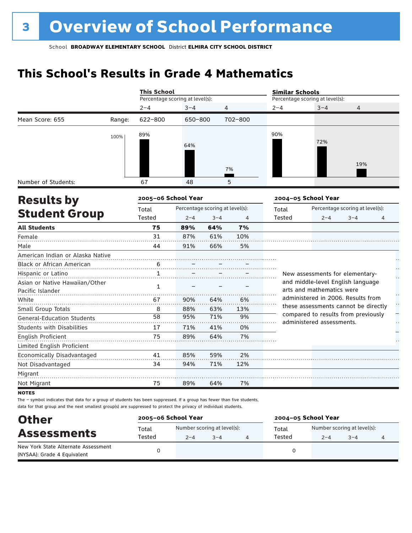# **This School's Results in Grade 4 Mathematics**

|                                   |        | <b>This School</b>              |         |                                 |         | <b>Similar Schools</b>          |                                                                 |                                 |     |
|-----------------------------------|--------|---------------------------------|---------|---------------------------------|---------|---------------------------------|-----------------------------------------------------------------|---------------------------------|-----|
|                                   |        | Percentage scoring at level(s): |         |                                 |         | Percentage scoring at level(s): |                                                                 |                                 |     |
|                                   |        | $2 - 4$                         | $3 - 4$ | 4                               |         | $2 - 4$                         | $3 - 4$                                                         | 4                               |     |
| Mean Score: 655                   | Range: | 622-800                         | 650-800 |                                 | 702-800 |                                 |                                                                 |                                 |     |
|                                   | 100%   | 89%                             |         |                                 |         | 90%                             |                                                                 |                                 |     |
|                                   |        |                                 | 64%     |                                 |         |                                 | 72%                                                             |                                 |     |
|                                   |        |                                 |         |                                 |         |                                 |                                                                 |                                 |     |
|                                   |        |                                 |         |                                 |         |                                 |                                                                 | 19%                             |     |
|                                   |        |                                 |         |                                 | 7%      |                                 |                                                                 |                                 |     |
| Number of Students:               |        | 67                              | 48      |                                 | 5       |                                 |                                                                 |                                 |     |
| <b>Results by</b>                 |        | 2005-06 School Year             |         |                                 |         |                                 | 2004-05 School Year                                             |                                 |     |
|                                   |        | Total                           |         | Percentage scoring at level(s): |         | Total                           |                                                                 | Percentage scoring at level(s): |     |
| <b>Student Group</b>              |        | Tested                          | $2 - 4$ | $3 - 4$                         | 4       | Tested                          | $2 - 4$                                                         | $3 - 4$                         | 4   |
| <b>All Students</b>               |        | 75                              | 89%     | 64%                             | 7%      |                                 |                                                                 |                                 |     |
| Female                            |        | 31                              | 87%     | 61%                             | 10%     |                                 |                                                                 |                                 |     |
| Male                              |        | 44                              | 91%     | 66%                             | 5%      |                                 |                                                                 |                                 |     |
| American Indian or Alaska Native  |        |                                 |         |                                 |         |                                 |                                                                 |                                 |     |
| <b>Black or African American</b>  |        | 6                               |         |                                 |         |                                 |                                                                 |                                 |     |
| Hispanic or Latino                |        | $\mathbf{1}$                    |         |                                 |         |                                 | New assessments for elementary-                                 |                                 |     |
| Asian or Native Hawaiian/Other    |        | 1                               |         |                                 |         |                                 | and middle-level English language                               |                                 |     |
| Pacific Islander                  |        |                                 |         |                                 |         |                                 | arts and mathematics were<br>administered in 2006. Results from |                                 |     |
| White                             |        | 67                              | 90%     | 64%                             | 6%      |                                 | these assessments cannot be directly                            |                                 |     |
| Small Group Totals                |        | 8                               | 88%     | 63%                             | 13%     |                                 | compared to results from previously                             |                                 |     |
| <b>General-Education Students</b> |        | 58                              | 95%     | 71%                             | 9%      |                                 | administered assessments.                                       |                                 | . . |
| <b>Students with Disabilities</b> |        | 17                              | 71%     | 41%                             | 0%      |                                 |                                                                 |                                 |     |
| <b>English Proficient</b>         |        | 75                              | 89%     | 64%                             | 7%      |                                 |                                                                 |                                 |     |
| Limited English Proficient        |        |                                 |         |                                 |         |                                 |                                                                 |                                 |     |
| Economically Disadvantaged        |        | 41                              | 85%     | 59%                             | 2%      |                                 |                                                                 |                                 |     |
| Not Disadvantaged                 |        | 34                              | 94%     | 71%                             | 12%     |                                 |                                                                 |                                 |     |
| Migrant                           |        |                                 |         |                                 |         |                                 |                                                                 |                                 |     |
| Not Migrant                       |        | 75                              | 89%     | 64%                             | 7%      |                                 |                                                                 |                                 |     |

**NOTES** 

The – symbol indicates that data for a group of students has been suppressed. If a group has fewer than five students, data for that group and the next smallest group(s) are suppressed to protect the privacy of individual students.

| <b>Other</b>                                                       | 2005-06 School Year |                                        |         | 2004-05 School Year |                                        |         |  |
|--------------------------------------------------------------------|---------------------|----------------------------------------|---------|---------------------|----------------------------------------|---------|--|
| <b>Assessments</b>                                                 | Total<br>Tested     | Number scoring at level(s):<br>$2 - 4$ | $3 - 4$ | Total<br>Tested     | Number scoring at level(s):<br>$2 - 4$ | $3 - 4$ |  |
| New York State Alternate Assessment<br>(NYSAA): Grade 4 Equivalent |                     |                                        |         |                     |                                        |         |  |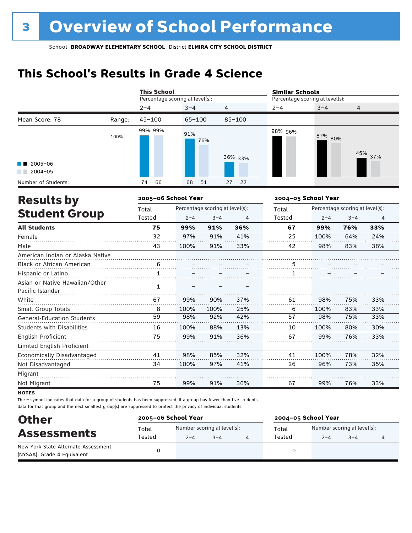# **This School's Results in Grade 4 Science**

|                                                    |                     | <b>This School</b>              |            |                                 |                     | <b>Similar Schools</b>          |                                 |         |     |  |
|----------------------------------------------------|---------------------|---------------------------------|------------|---------------------------------|---------------------|---------------------------------|---------------------------------|---------|-----|--|
|                                                    |                     | Percentage scoring at level(s): |            |                                 |                     | Percentage scoring at level(s): |                                 |         |     |  |
|                                                    |                     | $2 - 4$                         | $3 - 4$    | 4                               |                     | $2 - 4$                         | $3 - 4$                         | 4       |     |  |
| Mean Score: 78                                     | Range:              | $45 - 100$                      | $65 - 100$ |                                 | $85 - 100$          |                                 |                                 |         |     |  |
|                                                    | 100%                | 99% 99%                         | 91%        | 76%                             | 36% 33%             | 98% 96%                         | 87% 80%                         | 45%     | 37% |  |
| $2005 - 06$<br>$2004 - 05$                         |                     |                                 |            |                                 |                     |                                 |                                 |         |     |  |
| Number of Students:                                |                     | 74<br>66                        | 68         | 51                              | 22<br>27            |                                 |                                 |         |     |  |
| <b>Results by</b>                                  | 2005-06 School Year |                                 |            |                                 | 2004-05 School Year |                                 |                                 |         |     |  |
|                                                    |                     | Total                           |            | Percentage scoring at level(s): |                     | Total                           | Percentage scoring at level(s): |         |     |  |
| <b>Student Group</b>                               |                     | Tested                          | $2 - 4$    | $3 - 4$                         | 4                   | Tested                          | $2 - 4$                         | $3 - 4$ | 4   |  |
| <b>All Students</b>                                |                     | 75                              | 99%        | 91%                             | 36%                 | 67                              | 99%                             | 76%     | 33% |  |
| Female                                             |                     | 32                              | 97%        | 91%                             | 41%                 | 25                              | 100%                            | 64%     | 24% |  |
| Male                                               |                     | 43                              | 100%       | 91%                             | 33%                 | 42                              | 98%                             | 83%     | 38% |  |
| American Indian or Alaska Native                   |                     |                                 |            |                                 |                     |                                 |                                 |         |     |  |
| Black or African American                          |                     | $\overline{6}$                  |            |                                 |                     | $\frac{5}{11}$                  |                                 |         |     |  |
| Hispanic or Latino                                 |                     | $\mathbf{1}$                    |            |                                 |                     | $\mathbf{1}$                    |                                 |         |     |  |
| Asian or Native Hawaiian/Other<br>Pacific Islander |                     | 1                               |            |                                 |                     |                                 |                                 |         |     |  |
| White                                              |                     | 67                              | 99%        | 90%                             | 37%                 | 61                              | 98%                             | 75%     | 33% |  |
| Small Group Totals                                 |                     | 8                               | 100%       | 100%                            | 25%                 | 6                               | 100%                            | 83%     | 33% |  |
| <b>General-Education Students</b>                  |                     | 59                              | 98%        | 92%                             | 42%                 | 57                              | 98%                             | 75%     | 33% |  |
| Students with Disabilities                         |                     | 16                              | 100%       | 88%                             | 13%                 | 10                              | 100%                            | 80%     | 30% |  |
| English Proficient                                 |                     | 75                              | 99%        | 91%                             | 36%                 | 67                              | 99%                             | 76%     | 33% |  |
| Limited English Proficient                         |                     |                                 |            |                                 |                     |                                 |                                 |         |     |  |
| Economically Disadvantaged                         |                     | 41                              | 98%        | 85%                             | 32%                 | 41                              | 100%                            | 78%     | 32% |  |
| Not Disadvantaged                                  |                     | 34                              | 100%       | 97%                             | 41%                 | 26                              | 96%                             | 73%     | 35% |  |
| Migrant                                            |                     |                                 |            |                                 |                     |                                 |                                 |         |     |  |
| Not Migrant                                        |                     | 75                              | 99%        | 91%                             | 36%                 | 67                              | 99%                             | 76%     | 33% |  |

**NOTES** 

The – symbol indicates that data for a group of students has been suppressed. If a group has fewer than five students, data for that group and the next smallest group(s) are suppressed to protect the privacy of individual students.

| <b>Other</b>                        | 2005-06 School Year |                                        |         | 2004-05 School Year |                             |         |  |  |
|-------------------------------------|---------------------|----------------------------------------|---------|---------------------|-----------------------------|---------|--|--|
| <b>Assessments</b>                  | Total<br>Tested     | Number scoring at level(s):<br>$2 - 4$ | $3 - 4$ | Total<br>Tested     | Number scoring at level(s): |         |  |  |
| New York State Alternate Assessment |                     |                                        |         |                     | $2 - 4$                     | $3 - 4$ |  |  |
| (NYSAA): Grade 4 Equivalent         |                     |                                        |         |                     |                             |         |  |  |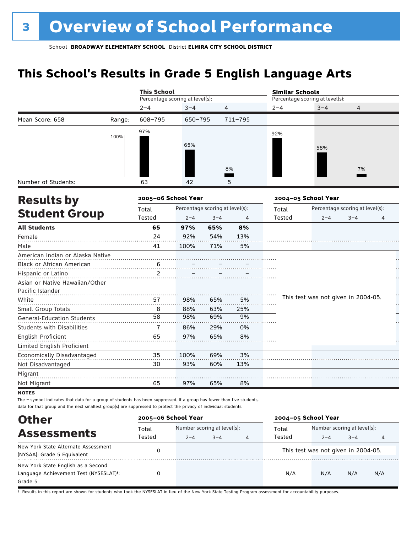# **This School's Results in Grade 5 English Language Arts**

|                                   |        | <b>This School</b>              |                                 |         |         | <b>Similar Schools</b> |                                 |                                                      |   |  |  |
|-----------------------------------|--------|---------------------------------|---------------------------------|---------|---------|------------------------|---------------------------------|------------------------------------------------------|---|--|--|
|                                   |        | Percentage scoring at level(s): |                                 |         |         |                        | Percentage scoring at level(s): |                                                      |   |  |  |
|                                   |        | $2 - 4$                         | $3 - 4$                         | 4       |         | $2 - 4$                | $3 - 4$                         | 4                                                    |   |  |  |
| Mean Score: 658                   | Range: | 608-795                         | $650 - 795$                     |         | 711-795 |                        |                                 | 7%<br>$3 - 4$<br>This test was not given in 2004-05. |   |  |  |
|                                   | 100%   | 97%                             |                                 |         |         | 92%                    |                                 |                                                      |   |  |  |
|                                   |        |                                 | 65%                             |         |         |                        |                                 |                                                      |   |  |  |
|                                   |        |                                 |                                 |         |         |                        | 58%                             |                                                      |   |  |  |
|                                   |        |                                 |                                 |         |         |                        |                                 |                                                      |   |  |  |
|                                   |        |                                 |                                 |         | 8%      |                        |                                 |                                                      |   |  |  |
| Number of Students:               |        | 63                              | 42                              |         | 5       |                        |                                 |                                                      |   |  |  |
| <b>Results by</b>                 |        |                                 | 2005-06 School Year             |         |         |                        | 2004-05 School Year             |                                                      |   |  |  |
|                                   |        | Total                           | Percentage scoring at level(s): |         |         | Total                  | Percentage scoring at level(s): |                                                      |   |  |  |
| <b>Student Group</b>              |        | Tested                          | $2 - 4$                         | $3 - 4$ | 4       | <b>Tested</b>          | $2 - 4$                         |                                                      | 4 |  |  |
| <b>All Students</b>               |        | 65                              | 97%                             | 65%     | 8%      |                        |                                 |                                                      |   |  |  |
| Female                            |        | 24                              | 92%                             | 54%     | 13%     |                        |                                 |                                                      |   |  |  |
| Male                              |        | 41                              | 100%                            | 71%     | 5%      |                        |                                 |                                                      |   |  |  |
| American Indian or Alaska Native  |        |                                 |                                 |         |         |                        |                                 |                                                      |   |  |  |
| Black or African American         |        | 6                               |                                 |         |         |                        |                                 |                                                      |   |  |  |
| Hispanic or Latino                |        | 2                               |                                 |         |         |                        |                                 |                                                      |   |  |  |
| Asian or Native Hawaiian/Other    |        |                                 |                                 |         |         |                        |                                 |                                                      |   |  |  |
| Pacific Islander                  |        |                                 |                                 |         |         |                        |                                 |                                                      |   |  |  |
| White                             |        | 57                              | 98%                             | 65%     | 5%      |                        |                                 |                                                      |   |  |  |
| Small Group Totals                |        | 8                               | 88%                             | 63%     | 25%     |                        |                                 |                                                      |   |  |  |
| <b>General-Education Students</b> |        | 58                              | 98%                             | 69%     | 9%      |                        |                                 |                                                      |   |  |  |
| <b>Students with Disabilities</b> |        | 7                               | 86%                             | 29%     | 0%      |                        |                                 |                                                      |   |  |  |
| English Proficient                |        | 65                              | 97%                             | 65%     | 8%      |                        |                                 |                                                      |   |  |  |
| Limited English Proficient        |        |                                 |                                 |         |         |                        |                                 |                                                      |   |  |  |
| Economically Disadvantaged        |        | 35                              | 100%                            | 69%     | 3%      |                        |                                 |                                                      |   |  |  |
| Not Disadvantaged                 |        | 30                              | 93%                             | 60%     | 13%     |                        |                                 |                                                      |   |  |  |
| Migrant                           |        |                                 |                                 |         |         |                        |                                 |                                                      |   |  |  |
| Not Migrant                       |        | 65                              | 97%                             | 65%     | 8%      |                        |                                 |                                                      |   |  |  |
| <b>NOTES</b>                      |        |                                 |                                 |         |         |                        |                                 |                                                      |   |  |  |

The – symbol indicates that data for a group of students has been suppressed. If a group has fewer than five students, data for that group and the next smallest group(s) are suppressed to protect the privacy of individual students.

| <b>Other</b>                           | 2005-06 School Year |                             | 2004-05 School Year |                |        |                                     |         |     |
|----------------------------------------|---------------------|-----------------------------|---------------------|----------------|--------|-------------------------------------|---------|-----|
| <b>Assessments</b>                     | Total               | Number scoring at level(s): |                     |                | Total  | Number scoring at level(s):         |         |     |
|                                        | Tested              | $2 - 4$                     | $3 - 4$             | $\overline{4}$ | Tested | $2 - 4$                             | $3 - 4$ |     |
| New York State Alternate Assessment    |                     |                             |                     |                |        | This test was not given in 2004-05. |         |     |
| (NYSAA): Grade 5 Equivalent            |                     |                             |                     |                |        |                                     |         |     |
| New York State English as a Second     |                     |                             |                     |                |        |                                     |         |     |
| Language Achievement Test (NYSESLAT)t: |                     |                             |                     |                | N/A    | N/A                                 | N/A     | N/A |
| Grade 5                                |                     |                             |                     |                |        |                                     |         |     |

† Results in this report are shown for students who took the NYSESLAT in lieu of the New York State Testing Program assessment for accountability purposes.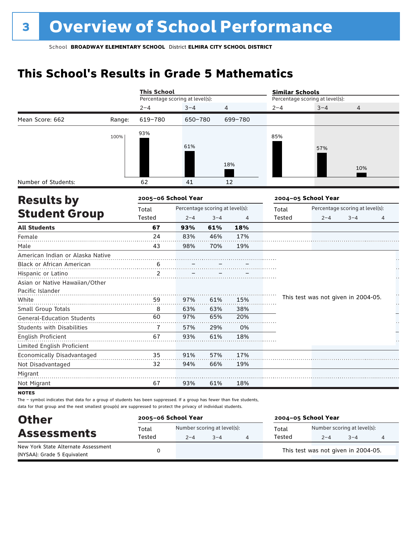# **This School's Results in Grade 5 Mathematics**

|                                   |                     | <b>This School</b>              |                                 |         |         | <b>Similar Schools</b> |                                     |         |    |  |  |
|-----------------------------------|---------------------|---------------------------------|---------------------------------|---------|---------|------------------------|-------------------------------------|---------|----|--|--|
|                                   |                     | Percentage scoring at level(s): |                                 |         |         |                        | Percentage scoring at level(s):     |         |    |  |  |
|                                   |                     | $2 - 4$                         | $3 - 4$                         | 4       |         | $2 - 4$                | $3 - 4$                             | 4       |    |  |  |
| Mean Score: 662                   | Range:              | 619-780                         | 650-780                         |         | 699-780 |                        |                                     |         |    |  |  |
|                                   | 100%                | 93%                             |                                 |         |         | 85%                    |                                     |         |    |  |  |
|                                   |                     |                                 | 61%                             |         |         |                        |                                     |         |    |  |  |
|                                   |                     |                                 |                                 |         |         |                        | 57%                                 |         |    |  |  |
|                                   |                     |                                 |                                 |         | 18%     |                        |                                     |         |    |  |  |
|                                   |                     |                                 |                                 |         |         |                        |                                     | 10%     |    |  |  |
| Number of Students:               |                     | 62                              | 41                              |         | 12      |                        |                                     |         |    |  |  |
| <b>Results by</b>                 | 2005-06 School Year |                                 |                                 |         |         | 2004-05 School Year    |                                     |         |    |  |  |
|                                   |                     | Total                           | Percentage scoring at level(s): |         |         | Total                  | Percentage scoring at level(s):     |         |    |  |  |
| <b>Student Group</b>              |                     | Tested                          | $2 - 4$                         | $3 - 4$ | 4       | Tested                 | $2 - 4$                             | $3 - 4$ | 4  |  |  |
| <b>All Students</b>               |                     | 67                              | 93%                             | 61%     | 18%     |                        |                                     |         |    |  |  |
| Female                            |                     | 24                              | 83%                             | 46%     | 17%     |                        |                                     |         |    |  |  |
| Male                              |                     | 43                              | 98%                             | 70%     | 19%     |                        |                                     |         |    |  |  |
| American Indian or Alaska Native  |                     |                                 |                                 |         |         |                        |                                     |         |    |  |  |
| Black or African American         |                     | 6                               |                                 |         |         |                        |                                     |         |    |  |  |
| Hispanic or Latino                |                     | 2                               |                                 |         |         |                        |                                     |         |    |  |  |
| Asian or Native Hawaiian/Other    |                     |                                 |                                 |         |         |                        |                                     |         |    |  |  |
| Pacific Islander                  |                     |                                 |                                 |         |         |                        |                                     |         |    |  |  |
| White                             |                     | 59                              | 97%                             | 61%     | 15%     |                        | This test was not given in 2004-05. |         | μ, |  |  |
| Small Group Totals                |                     | 8                               | 63%                             | 63%     | 38%     |                        |                                     |         |    |  |  |
| <b>General-Education Students</b> |                     | 60                              | 97%                             | 65%     | 20%     |                        |                                     |         |    |  |  |
| <b>Students with Disabilities</b> |                     | $\overline{1}$                  | 57%                             | 29%     | 0%      |                        |                                     |         |    |  |  |
| English Proficient                |                     | 67                              | 93%                             | 61%     | 18%     |                        |                                     |         |    |  |  |
| Limited English Proficient        |                     |                                 |                                 |         |         |                        |                                     |         |    |  |  |
| Economically Disadvantaged        |                     | 35                              | 91%                             | 57%     | 17%     |                        |                                     |         |    |  |  |
| Not Disadvantaged                 |                     | 32                              | 94%                             | 66%     | 19%     |                        |                                     |         |    |  |  |
| Migrant                           |                     |                                 |                                 |         |         |                        |                                     |         |    |  |  |
| Not Migrant                       |                     | 67                              | 93%                             | 61%     | 18%     |                        |                                     |         |    |  |  |
| <b>NOTEC</b>                      |                     |                                 |                                 |         |         |                        |                                     |         |    |  |  |

not

The – symbol indicates that data for a group of students has been suppressed. If a group has fewer than five students, data for that group and the next smallest group(s) are suppressed to protect the privacy of individual students.

| <b>Other</b>                                                       | 2005-06 School Year |                                        |         | 2004-05 School Year |                                        |         |  |
|--------------------------------------------------------------------|---------------------|----------------------------------------|---------|---------------------|----------------------------------------|---------|--|
| <b>Assessments</b>                                                 | Total<br>Tested     | Number scoring at level(s):<br>$2 - 4$ | $3 - 4$ | Total<br>Tested     | Number scoring at level(s):<br>$2 - 4$ | $3 - 4$ |  |
| New York State Alternate Assessment<br>(NYSAA): Grade 5 Equivalent |                     |                                        |         |                     | This test was not given in 2004-05.    |         |  |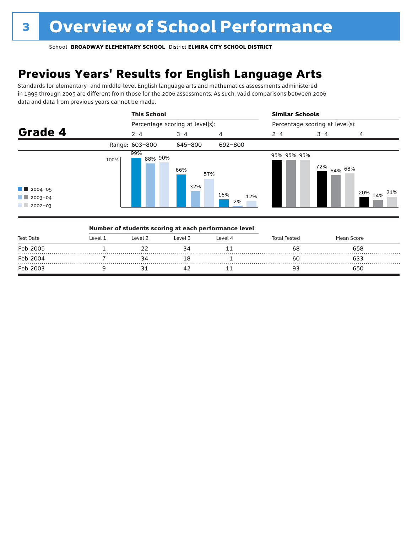# **Previous Years' Results for English Language Arts**

Standards for elementary- and middle-level English language arts and mathematics assessments administered in 1999 through 2005 are different from those for the 2006 assessments. As such, valid comparisons between 2006 data and data from previous years cannot be made.



| <b>Test Date</b> | Number of students scoring at each performance level: |         |         |         |                     |            |  |
|------------------|-------------------------------------------------------|---------|---------|---------|---------------------|------------|--|
|                  | Level 1                                               | Level 2 | Level 3 | Level 4 | <b>Total Tested</b> | Mean Score |  |
| Feb 2005         |                                                       |         |         |         | 68                  | 658        |  |
| Feb 2004         |                                                       |         |         |         | 60                  |            |  |
| Feb 2003         |                                                       |         |         |         |                     | 650        |  |